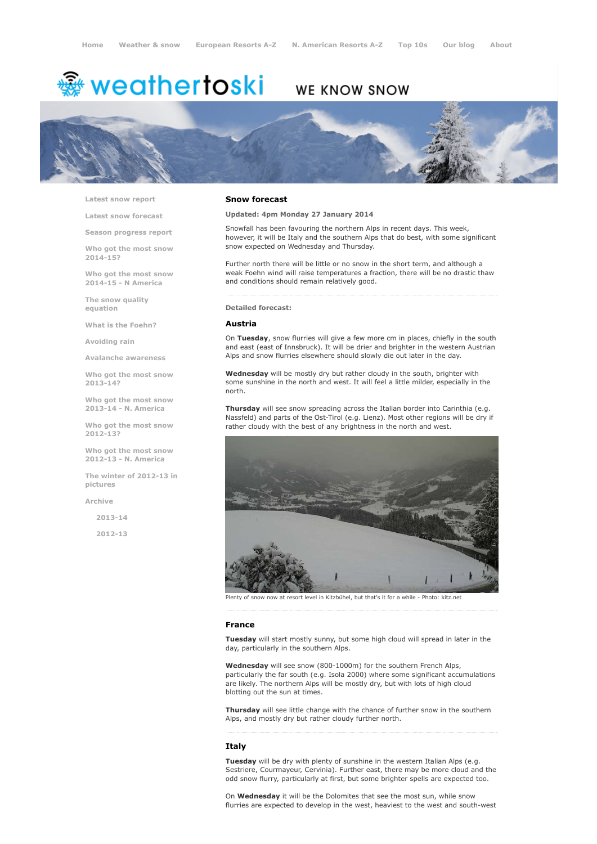# <del>靈</del> weathertoski

# WE KNOW SNOW



Latest snow [report](http://www.weathertoski.co.uk/weather-snow/latest-snow-report/)

Latest snow [forecast](http://www.weathertoski.co.uk/weather-snow/latest-snow-forecast/)

Season [progress](http://www.weathertoski.co.uk/weather-snow/season-progress-report/) report

Who got the most snow 2014-15?

Who got the most snow 2014-15 - N America

The snow quality [equation](http://www.weathertoski.co.uk/weather-snow/the-snow-quality-equation/)

What is the [Foehn?](http://www.weathertoski.co.uk/weather-snow/what-is-the-foehn/)

[Avoiding](http://www.weathertoski.co.uk/weather-snow/avoiding-rain/) rain

Avalanche [awareness](http://www.weathertoski.co.uk/weather-snow/avalanche-awareness/)

Who got the most snow 2013-14?

Who got the most snow 2013-14 - N. America

Who got the most snow 2012-13?

Who got the most snow 2012-13 - N. America

The winter of 2012-13 in pictures

[Archive](http://www.weathertoski.co.uk/weather-snow/archive/)

2013-14

2012-13

#### Snow forecast

Updated: 4pm Monday 27 January 2014

Snowfall has been favouring the northern Alps in recent days. This week, however, it will be Italy and the southern Alps that do best, with some significant snow expected on Wednesday and Thursday.

Further north there will be little or no snow in the short term, and although a weak Foehn wind will raise temperatures a fraction, there will be no drastic thaw and conditions should remain relatively good.

# Detailed forecast:

#### Austria

On Tuesday, snow flurries will give a few more cm in places, chiefly in the south and east (east of Innsbruck). It will be drier and brighter in the western Austrian Alps and snow flurries elsewhere should slowly die out later in the day.

Wednesday will be mostly dry but rather cloudy in the south, brighter with some sunshine in the north and west. It will feel a little milder, especially in the north.

Thursday will see snow spreading across the Italian border into Carinthia (e.g. Nassfeld) and parts of the Ost-Tirol (e.g. Lienz). Most other regions will be dry if rather cloudy with the best of any brightness in the north and west.



Plenty of snow now at resort level in Kitzbühel, but that's it for a while Photo: kitz.net

#### France

Tuesday will start mostly sunny, but some high cloud will spread in later in the day, particularly in the southern Alps.

Wednesday will see snow (800-1000m) for the southern French Alps, particularly the far south (e.g. Isola 2000) where some significant accumulations are likely. The northern Alps will be mostly dry, but with lots of high cloud blotting out the sun at times.

Thursday will see little change with the chance of further snow in the southern Alps, and mostly dry but rather cloudy further north.

## **Italy**

Tuesday will be dry with plenty of sunshine in the western Italian Alps (e.g. Sestriere, Courmayeur, Cervinia). Further east, there may be more cloud and the odd snow flurry, particularly at first, but some brighter spells are expected too.

On Wednesday it will be the Dolomites that see the most sun, while snow flurries are expected to develop in the west, heaviest to the west and south-west